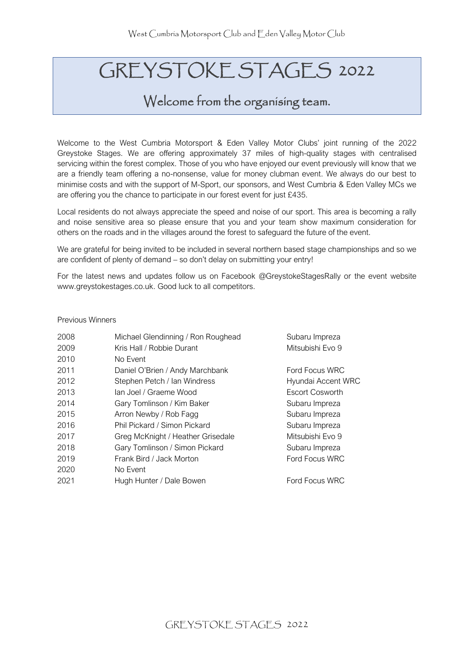# GREYSTOKE STAGES 2022

### Welcome from the organising team.

Welcome to the West Cumbria Motorsport & Eden Valley Motor Clubs' joint running of the 2022 Greystoke Stages. We are offering approximately 37 miles of high-quality stages with centralised servicing within the forest complex. Those of you who have enjoyed our event previously will know that we are a friendly team offering a no-nonsense, value for money clubman event. We always do our best to minimise costs and with the support of M-Sport, our sponsors, and West Cumbria & Eden Valley MCs we are offering you the chance to participate in our forest event for just £435.

Local residents do not always appreciate the speed and noise of our sport. This area is becoming a rally and noise sensitive area so please ensure that you and your team show maximum consideration for others on the roads and in the villages around the forest to safeguard the future of the event.

We are grateful for being invited to be included in several northern based stage championships and so we are confident of plenty of demand – so don't delay on submitting your entry!

For the latest news and updates follow us on Facebook @GreystokeStagesRally or the event website www.greystokestages.co.uk. Good luck to all competitors.

#### Previous Winners

| 2008 | Michael Glendinning / Ron Roughead | Subaru Impreza         |
|------|------------------------------------|------------------------|
| 2009 | Kris Hall / Robbie Durant          | Mitsubishi Evo 9       |
| 2010 | No Event                           |                        |
| 2011 | Daniel O'Brien / Andy Marchbank    | Ford Focus WRC         |
| 2012 | Stephen Petch / Ian Windress       | Hyundai Accent WRC     |
| 2013 | lan Joel / Graeme Wood             | <b>Escort Cosworth</b> |
| 2014 | Gary Tomlinson / Kim Baker         | Subaru Impreza         |
| 2015 | Arron Newby / Rob Fagg             | Subaru Impreza         |
| 2016 | Phil Pickard / Simon Pickard       | Subaru Impreza         |
| 2017 | Greg McKnight / Heather Grisedale  | Mitsubishi Evo 9       |
| 2018 | Gary Tomlinson / Simon Pickard     | Subaru Impreza         |
| 2019 | Frank Bird / Jack Morton           | Ford Focus WRC         |
| 2020 | No Event                           |                        |
| 2021 | Hugh Hunter / Dale Bowen           | Ford Focus WRC         |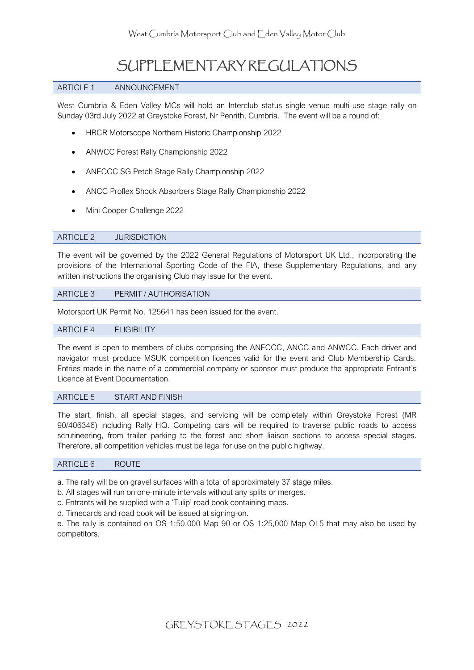# SUPPLEMENTARY REGULATIONS

#### ARTICLE 1 ANNOUNCEMENT

West Cumbria & Eden Valley MCs will hold an Interclub status single venue multi-use stage rally on Sunday 03rd July 2022 at Greystoke Forest, Nr Penrith, Cumbria. The event will be a round of:

- HRCR Motorscope Northern Historic Championship 2022
- ANWCC Forest Rally Championship 2022
- ANECCC SG Petch Stage Rally Championship 2022
- ANCC Proflex Shock Absorbers Stage Rally Championship 2022
- Mini Cooper Challenge 2022

#### ARTICLE 2 JURISDICTION

The event will be governed by the 2022 General Regulations of Motorsport UK Ltd., incorporating the provisions of the International Sporting Code of the FIA, these Supplementary Regulations, and any written instructions the organising Club may issue for the event.

#### ARTICLE 3 PERMIT / AUTHORISATION

Motorsport UK Permit No. 125641 has been issued for the event.

#### ARTICLE 4 ELIGIBILITY

The event is open to members of clubs comprising the ANECCC, ANCC and ANWCC. Each driver and navigator must produce MSUK competition licences valid for the event and Club Membership Cards. Entries made in the name of a commercial company or sponsor must produce the appropriate Entrant's Licence at Event Documentation.

#### ARTICLE 5 START AND FINISH

The start, finish, all special stages, and servicing will be completely within Greystoke Forest (MR 90/406346) including Rally HQ. Competing cars will be required to traverse public roads to access scrutineering, from trailer parking to the forest and short liaison sections to access special stages. Therefore, all competition vehicles must be legal for use on the public highway.

#### ARTICLE 6 ROUTE

a. The rally will be on gravel surfaces with a total of approximately 37 stage miles.

b. All stages will run on one-minute intervals without any splits or merges.

c. Entrants will be supplied with a 'Tulip' road book containing maps.

d. Timecards and road book will be issued at signing-on.

e. The rally is contained on OS 1:50,000 Map 90 or OS 1:25,000 Map OL5 that may also be used by competitors.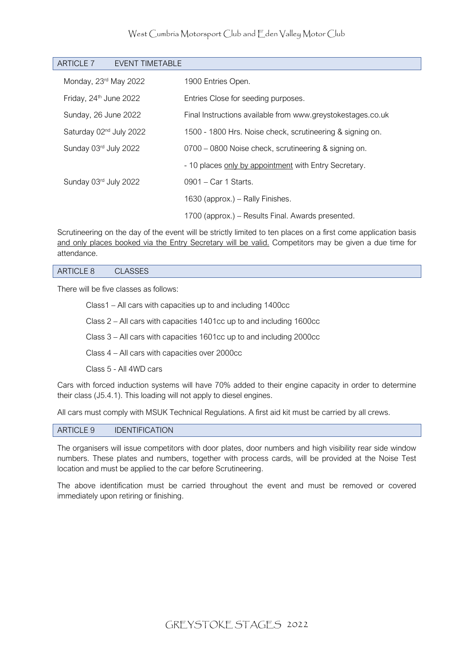#### West Cumbria Motorsport Club and Eden Valley Motor Club

| ARTICLE 7<br>EVENT TIMETABLE        |                                                             |
|-------------------------------------|-------------------------------------------------------------|
| Monday, 23rd May 2022               | 1900 Entries Open.                                          |
| Friday, 24 <sup>th</sup> June 2022  | Entries Close for seeding purposes.                         |
| Sunday, 26 June 2022                | Final Instructions available from www.greystokestages.co.uk |
| Saturday 02 <sup>nd</sup> July 2022 | 1500 - 1800 Hrs. Noise check, scrutineering & signing on.   |
| Sunday 03rd July 2022               | 0700 – 0800 Noise check, scrutineering & signing on.        |
|                                     | - 10 places only by appointment with Entry Secretary.       |
| Sunday 03rd July 2022               | 0901 - Car 1 Starts.                                        |
|                                     | 1630 (approx.) – Rally Finishes.                            |
|                                     | 1700 (approx.) – Results Final. Awards presented.           |

Scrutineering on the day of the event will be strictly limited to ten places on a first come application basis and only places booked via the Entry Secretary will be valid. Competitors may be given a due time for attendance.

#### ARTICLE 8 CLASSES

There will be five classes as follows:

Class1 – All cars with capacities up to and including 1400cc

Class 2 – All cars with capacities 1401cc up to and including 1600cc

Class 3 – All cars with capacities 1601cc up to and including 2000cc

Class 4 – All cars with capacities over 2000cc

Class 5 - All 4WD cars

Cars with forced induction systems will have 70% added to their engine capacity in order to determine their class (J5.4.1). This loading will not apply to diesel engines.

All cars must comply with MSUK Technical Regulations. A first aid kit must be carried by all crews.

#### ARTICLE 9 IDENTIFICATION

The organisers will issue competitors with door plates, door numbers and high visibility rear side window numbers. These plates and numbers, together with process cards, will be provided at the Noise Test location and must be applied to the car before Scrutineering.

The above identification must be carried throughout the event and must be removed or covered immediately upon retiring or finishing.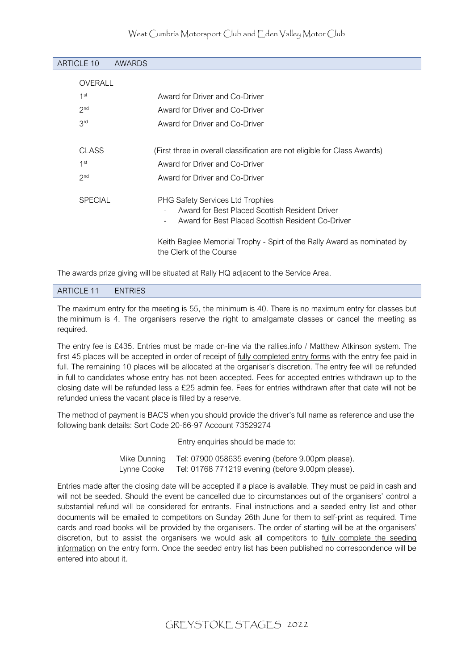#### West Cumbria Motorsport Club and Eden Valley Motor Club

| <b>ARTICLE 10</b> | <b>AWARDS</b> |                                                                                                                                                |
|-------------------|---------------|------------------------------------------------------------------------------------------------------------------------------------------------|
| OVERALL           |               |                                                                                                                                                |
| 1 <sup>st</sup>   |               | Award for Driver and Co-Driver                                                                                                                 |
| 2 <sub>nd</sub>   |               | Award for Driver and Co-Driver                                                                                                                 |
| 3rd               |               | Award for Driver and Co-Driver                                                                                                                 |
|                   |               |                                                                                                                                                |
| <b>CLASS</b>      |               | (First three in overall classification are not eligible for Class Awards)                                                                      |
| 1 <sup>st</sup>   |               | Award for Driver and Co-Driver                                                                                                                 |
| 2 <sub>nd</sub>   |               | Award for Driver and Co-Driver                                                                                                                 |
| <b>SPECIAL</b>    |               | <b>PHG Safety Services Ltd Trophies</b><br>Award for Best Placed Scottish Resident Driver<br>Award for Best Placed Scottish Resident Co-Driver |
|                   |               | Keith Baglee Memorial Trophy - Spirt of the Rally Award as nominated by<br>the Clerk of the Course                                             |

The awards prize giving will be situated at Rally HQ adjacent to the Service Area.

#### ARTICLE 11 ENTRIES

The maximum entry for the meeting is 55, the minimum is 40. There is no maximum entry for classes but the minimum is 4. The organisers reserve the right to amalgamate classes or cancel the meeting as required.

The entry fee is £435. Entries must be made on-line via the rallies.info / Matthew Atkinson system. The first 45 places will be accepted in order of receipt of fully completed entry forms with the entry fee paid in full. The remaining 10 places will be allocated at the organiser's discretion. The entry fee will be refunded in full to candidates whose entry has not been accepted. Fees for accepted entries withdrawn up to the closing date will be refunded less a £25 admin fee. Fees for entries withdrawn after that date will not be refunded unless the vacant place is filled by a reserve.

The method of payment is BACS when you should provide the driver's full name as reference and use the following bank details: Sort Code 20-66-97 Account 73529274

Entry enquiries should be made to:

| Mike Dunning | Tel: 07900 058635 evening (before 9.00pm please). |
|--------------|---------------------------------------------------|
| Lynne Cooke  | Tel: 01768 771219 evening (before 9.00pm please). |

Entries made after the closing date will be accepted if a place is available. They must be paid in cash and will not be seeded. Should the event be cancelled due to circumstances out of the organisers' control a substantial refund will be considered for entrants. Final instructions and a seeded entry list and other documents will be emailed to competitors on Sunday 26th June for them to self-print as required. Time cards and road books will be provided by the organisers. The order of starting will be at the organisers' discretion, but to assist the organisers we would ask all competitors to fully complete the seeding information on the entry form. Once the seeded entry list has been published no correspondence will be entered into about it.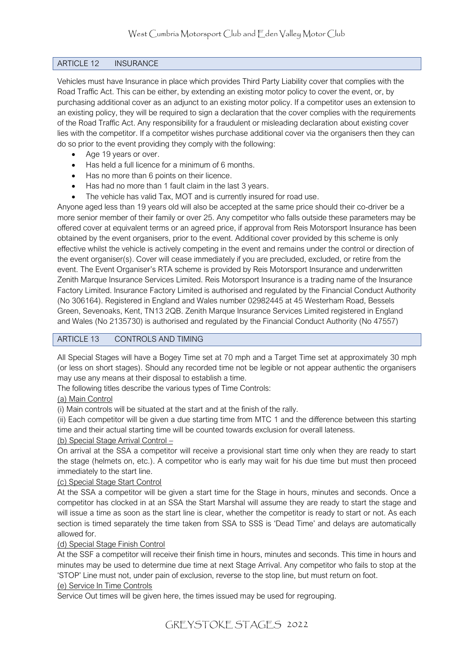#### ARTICLE 12 INSURANCE

Vehicles must have Insurance in place which provides Third Party Liability cover that complies with the Road Traffic Act. This can be either, by extending an existing motor policy to cover the event, or, by purchasing additional cover as an adjunct to an existing motor policy. If a competitor uses an extension to an existing policy, they will be required to sign a declaration that the cover complies with the requirements of the Road Traffic Act. Any responsibility for a fraudulent or misleading declaration about existing cover lies with the competitor. If a competitor wishes purchase additional cover via the organisers then they can do so prior to the event providing they comply with the following:

- Age 19 years or over.
- Has held a full licence for a minimum of 6 months.
- Has no more than 6 points on their licence.
- Has had no more than 1 fault claim in the last 3 years.
- The vehicle has valid Tax, MOT and is currently insured for road use.

Anyone aged less than 19 years old will also be accepted at the same price should their co-driver be a more senior member of their family or over 25. Any competitor who falls outside these parameters may be offered cover at equivalent terms or an agreed price, if approval from Reis Motorsport Insurance has been obtained by the event organisers, prior to the event. Additional cover provided by this scheme is only effective whilst the vehicle is actively competing in the event and remains under the control or direction of the event organiser(s). Cover will cease immediately if you are precluded, excluded, or retire from the event. The Event Organiser's RTA scheme is provided by Reis Motorsport Insurance and underwritten Zenith Marque Insurance Services Limited. Reis Motorsport Insurance is a trading name of the Insurance Factory Limited. Insurance Factory Limited is authorised and regulated by the Financial Conduct Authority (No 306164). Registered in England and Wales number 02982445 at 45 Westerham Road, Bessels Green, Sevenoaks, Kent, TN13 2QB. Zenith Marque Insurance Services Limited registered in England and Wales (No 2135730) is authorised and regulated by the Financial Conduct Authority (No 47557)

#### ARTICLE 13 CONTROLS AND TIMING

All Special Stages will have a Bogey Time set at 70 mph and a Target Time set at approximately 30 mph (or less on short stages). Should any recorded time not be legible or not appear authentic the organisers may use any means at their disposal to establish a time.

The following titles describe the various types of Time Controls:

#### (a) Main Control

(i) Main controls will be situated at the start and at the finish of the rally.

(ii) Each competitor will be given a due starting time from MTC 1 and the difference between this starting time and their actual starting time will be counted towards exclusion for overall lateness.

#### (b) Special Stage Arrival Control –

On arrival at the SSA a competitor will receive a provisional start time only when they are ready to start the stage (helmets on, etc.). A competitor who is early may wait for his due time but must then proceed immediately to the start line.

#### (c) Special Stage Start Control

At the SSA a competitor will be given a start time for the Stage in hours, minutes and seconds. Once a competitor has clocked in at an SSA the Start Marshal will assume they are ready to start the stage and will issue a time as soon as the start line is clear, whether the competitor is ready to start or not. As each section is timed separately the time taken from SSA to SSS is 'Dead Time' and delays are automatically allowed for.

#### (d) Special Stage Finish Control

At the SSF a competitor will receive their finish time in hours, minutes and seconds. This time in hours and minutes may be used to determine due time at next Stage Arrival. Any competitor who fails to stop at the 'STOP' Line must not, under pain of exclusion, reverse to the stop line, but must return on foot.

#### (e) Service In Time Controls

Service Out times will be given here, the times issued may be used for regrouping.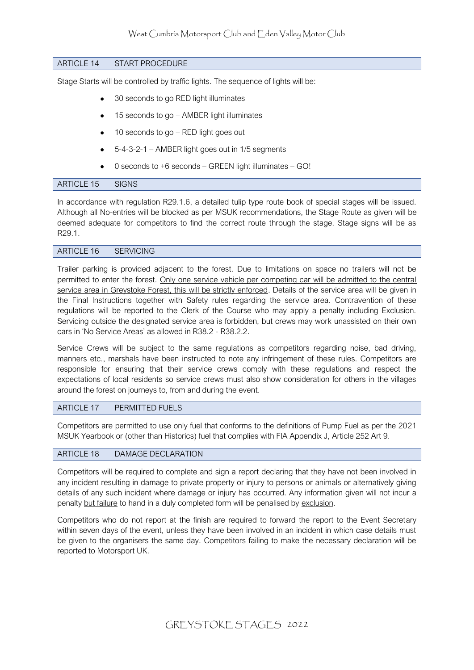#### ARTICLE 14 START PROCEDURE

Stage Starts will be controlled by traffic lights. The sequence of lights will be:

- 30 seconds to go RED light illuminates
- 15 seconds to go AMBER light illuminates
- 10 seconds to go RED light goes out
- 5-4-3-2-1 AMBER light goes out in 1/5 segments
- 0 seconds to +6 seconds GREEN light illuminates GO!

#### ARTICLE 15 SIGNS

In accordance with regulation R29.1.6, a detailed tulip type route book of special stages will be issued. Although all No-entries will be blocked as per MSUK recommendations, the Stage Route as given will be deemed adequate for competitors to find the correct route through the stage. Stage signs will be as R29.1.

#### ARTICLE 16 SERVICING

Trailer parking is provided adjacent to the forest. Due to limitations on space no trailers will not be permitted to enter the forest. Only one service vehicle per competing car will be admitted to the central service area in Greystoke Forest, this will be strictly enforced. Details of the service area will be given in the Final Instructions together with Safety rules regarding the service area. Contravention of these regulations will be reported to the Clerk of the Course who may apply a penalty including Exclusion. Servicing outside the designated service area is forbidden, but crews may work unassisted on their own cars in 'No Service Areas' as allowed in R38.2 - R38.2.2.

Service Crews will be subject to the same regulations as competitors regarding noise, bad driving, manners etc., marshals have been instructed to note any infringement of these rules. Competitors are responsible for ensuring that their service crews comply with these regulations and respect the expectations of local residents so service crews must also show consideration for others in the villages around the forest on journeys to, from and during the event.

#### ARTICLE 17 PERMITTED FUELS

Competitors are permitted to use only fuel that conforms to the definitions of Pump Fuel as per the 2021 MSUK Yearbook or (other than Historics) fuel that complies with FIA Appendix J, Article 252 Art 9.

#### ARTICLE 18 DAMAGE DECLARATION

Competitors will be required to complete and sign a report declaring that they have not been involved in any incident resulting in damage to private property or injury to persons or animals or alternatively giving details of any such incident where damage or injury has occurred. Any information given will not incur a penalty but failure to hand in a duly completed form will be penalised by exclusion.

Competitors who do not report at the finish are required to forward the report to the Event Secretary within seven days of the event, unless they have been involved in an incident in which case details must be given to the organisers the same day. Competitors failing to make the necessary declaration will be reported to Motorsport UK.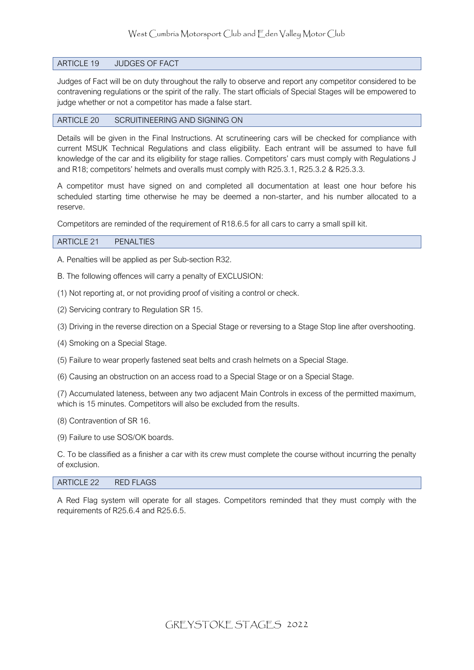#### ARTICLE 19 JUDGES OF FACT

Judges of Fact will be on duty throughout the rally to observe and report any competitor considered to be contravening regulations or the spirit of the rally. The start officials of Special Stages will be empowered to judge whether or not a competitor has made a false start.

#### ARTICLE 20 SCRUITINEERING AND SIGNING ON

Details will be given in the Final Instructions. At scrutineering cars will be checked for compliance with current MSUK Technical Regulations and class eligibility. Each entrant will be assumed to have full knowledge of the car and its eligibility for stage rallies. Competitors' cars must comply with Regulations J and R18; competitors' helmets and overalls must comply with R25.3.1, R25.3.2 & R25.3.3.

A competitor must have signed on and completed all documentation at least one hour before his scheduled starting time otherwise he may be deemed a non-starter, and his number allocated to a reserve.

Competitors are reminded of the requirement of R18.6.5 for all cars to carry a small spill kit.

#### ARTICLE 21 PENALTIES

A. Penalties will be applied as per Sub-section R32.

B. The following offences will carry a penalty of EXCLUSION:

(1) Not reporting at, or not providing proof of visiting a control or check.

- (2) Servicing contrary to Regulation SR 15.
- (3) Driving in the reverse direction on a Special Stage or reversing to a Stage Stop line after overshooting.
- (4) Smoking on a Special Stage.
- (5) Failure to wear properly fastened seat belts and crash helmets on a Special Stage.
- (6) Causing an obstruction on an access road to a Special Stage or on a Special Stage.

(7) Accumulated lateness, between any two adjacent Main Controls in excess of the permitted maximum, which is 15 minutes. Competitors will also be excluded from the results.

(8) Contravention of SR 16.

(9) Failure to use SOS/OK boards.

C. To be classified as a finisher a car with its crew must complete the course without incurring the penalty of exclusion.

#### ARTICLE 22 RED FLAGS

A Red Flag system will operate for all stages. Competitors reminded that they must comply with the requirements of R25.6.4 and R25.6.5.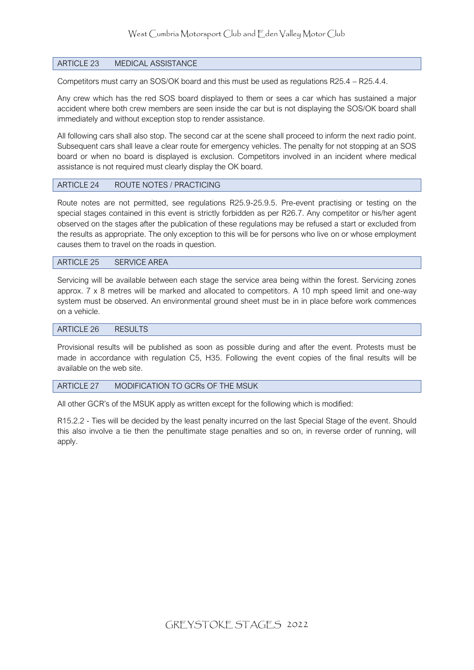#### ARTICLE 23 MEDICAL ASSISTANCE

Competitors must carry an SOS/OK board and this must be used as regulations R25.4 – R25.4.4.

Any crew which has the red SOS board displayed to them or sees a car which has sustained a major accident where both crew members are seen inside the car but is not displaying the SOS/OK board shall immediately and without exception stop to render assistance.

All following cars shall also stop. The second car at the scene shall proceed to inform the next radio point. Subsequent cars shall leave a clear route for emergency vehicles. The penalty for not stopping at an SOS board or when no board is displayed is exclusion. Competitors involved in an incident where medical assistance is not required must clearly display the OK board.

#### ARTICLE 24 ROUTE NOTES / PRACTICING

Route notes are not permitted, see regulations R25.9-25.9.5. Pre-event practising or testing on the special stages contained in this event is strictly forbidden as per R26.7. Any competitor or his/her agent observed on the stages after the publication of these regulations may be refused a start or excluded from the results as appropriate. The only exception to this will be for persons who live on or whose employment causes them to travel on the roads in question.

#### ARTICLE 25 SERVICE AREA

Servicing will be available between each stage the service area being within the forest. Servicing zones approx. 7 x 8 metres will be marked and allocated to competitors. A 10 mph speed limit and one-way system must be observed. An environmental ground sheet must be in in place before work commences on a vehicle.

#### ARTICLE 26 RESULTS

Provisional results will be published as soon as possible during and after the event. Protests must be made in accordance with regulation C5, H35. Following the event copies of the final results will be available on the web site.

#### ARTICLE 27 MODIFICATION TO GCRs OF THE MSUK

All other GCR's of the MSUK apply as written except for the following which is modified:

R15.2.2 - Ties will be decided by the least penalty incurred on the last Special Stage of the event. Should this also involve a tie then the penultimate stage penalties and so on, in reverse order of running, will apply.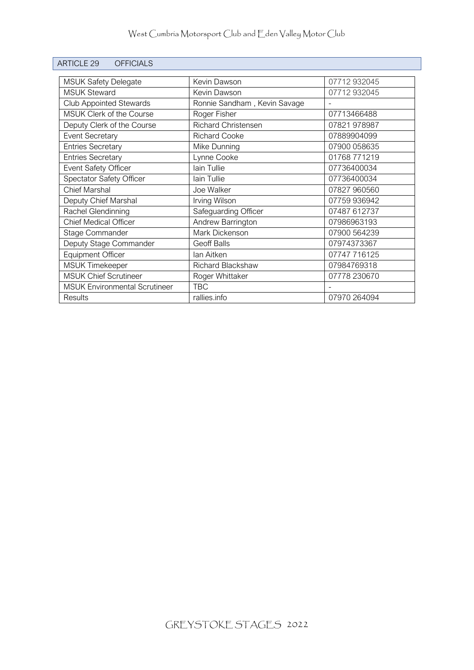| <b>ARTICLE 29</b><br><b>OFFICIALS</b> |                              |              |
|---------------------------------------|------------------------------|--------------|
|                                       | Kevin Dawson                 | 07712 932045 |
| <b>MSUK Safety Delegate</b>           |                              |              |
| <b>MSUK Steward</b>                   | Kevin Dawson                 | 07712 932045 |
| <b>Club Appointed Stewards</b>        | Ronnie Sandham, Kevin Savage |              |
| MSUK Clerk of the Course              | Roger Fisher                 | 07713466488  |
| Deputy Clerk of the Course            | <b>Richard Christensen</b>   | 07821 978987 |
| <b>Event Secretary</b>                | Richard Cooke                | 07889904099  |
| <b>Entries Secretary</b>              | Mike Dunning                 | 07900 058635 |
| <b>Entries Secretary</b>              | Lynne Cooke                  | 01768 771219 |
| Event Safety Officer                  | lain Tullie                  | 07736400034  |
| Spectator Safety Officer              | lain Tullie                  | 07736400034  |
| <b>Chief Marshal</b>                  | Joe Walker                   | 07827 960560 |
| Deputy Chief Marshal                  | Irving Wilson                | 07759 936942 |
| Rachel Glendinning                    | Safeguarding Officer         | 07487 612737 |
| <b>Chief Medical Officer</b>          | Andrew Barrington            | 07986963193  |
| Stage Commander                       | Mark Dickenson               | 07900 564239 |
| Deputy Stage Commander                | <b>Geoff Balls</b>           | 07974373367  |
| <b>Equipment Officer</b>              | lan Aitken                   | 07747 716125 |
| <b>MSUK Timekeeper</b>                | <b>Richard Blackshaw</b>     | 07984769318  |
| <b>MSUK Chief Scrutineer</b>          | Roger Whittaker              | 07778 230670 |
| <b>MSUK Environmental Scrutineer</b>  | <b>TBC</b>                   |              |
| <b>Results</b>                        | rallies.info                 | 07970 264094 |